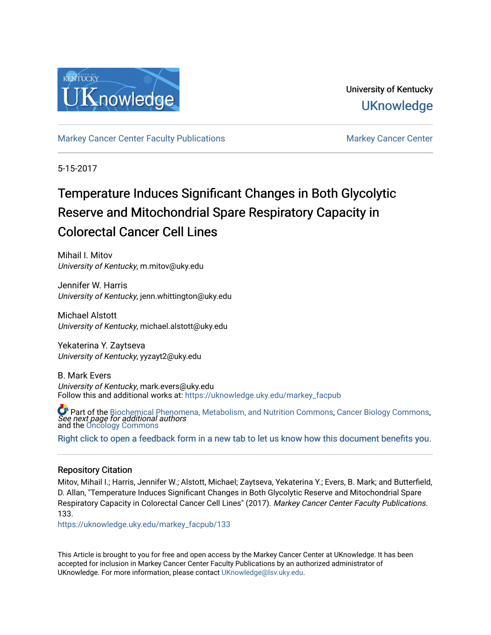

University of Kentucky **UKnowledge** 

[Markey Cancer Center Faculty Publications](https://uknowledge.uky.edu/markey_facpub) [Markey Cancer Center](https://uknowledge.uky.edu/markey) Center

5-15-2017

# Temperature Induces Significant Changes in Both Glycolytic Reserve and Mitochondrial Spare Respiratory Capacity in Colorectal Cancer Cell Lines

Mihail I. Mitov University of Kentucky, m.mitov@uky.edu

Jennifer W. Harris University of Kentucky, jenn.whittington@uky.edu

Michael Alstott University of Kentucky, michael.alstott@uky.edu

Yekaterina Y. Zaytseva University of Kentucky, yyzayt2@uky.edu

B. Mark Evers University of Kentucky, mark.evers@uky.edu Follow this and additional works at: [https://uknowledge.uky.edu/markey\\_facpub](https://uknowledge.uky.edu/markey_facpub?utm_source=uknowledge.uky.edu%2Fmarkey_facpub%2F133&utm_medium=PDF&utm_campaign=PDFCoverPages)

See next page for additional authors Part of the [Biochemical Phenomena, Metabolism, and Nutrition Commons,](http://network.bepress.com/hgg/discipline/1012?utm_source=uknowledge.uky.edu%2Fmarkey_facpub%2F133&utm_medium=PDF&utm_campaign=PDFCoverPages) [Cancer Biology Commons](http://network.bepress.com/hgg/discipline/12?utm_source=uknowledge.uky.edu%2Fmarkey_facpub%2F133&utm_medium=PDF&utm_campaign=PDFCoverPages), and the [Oncology Commons](http://network.bepress.com/hgg/discipline/694?utm_source=uknowledge.uky.edu%2Fmarkey_facpub%2F133&utm_medium=PDF&utm_campaign=PDFCoverPages) 

[Right click to open a feedback form in a new tab to let us know how this document benefits you.](https://uky.az1.qualtrics.com/jfe/form/SV_9mq8fx2GnONRfz7)

#### Repository Citation

Mitov, Mihail I.; Harris, Jennifer W.; Alstott, Michael; Zaytseva, Yekaterina Y.; Evers, B. Mark; and Butterfield, D. Allan, "Temperature Induces Significant Changes in Both Glycolytic Reserve and Mitochondrial Spare Respiratory Capacity in Colorectal Cancer Cell Lines" (2017). Markey Cancer Center Faculty Publications. 133.

[https://uknowledge.uky.edu/markey\\_facpub/133](https://uknowledge.uky.edu/markey_facpub/133?utm_source=uknowledge.uky.edu%2Fmarkey_facpub%2F133&utm_medium=PDF&utm_campaign=PDFCoverPages)

This Article is brought to you for free and open access by the Markey Cancer Center at UKnowledge. It has been accepted for inclusion in Markey Cancer Center Faculty Publications by an authorized administrator of UKnowledge. For more information, please contact [UKnowledge@lsv.uky.edu](mailto:UKnowledge@lsv.uky.edu).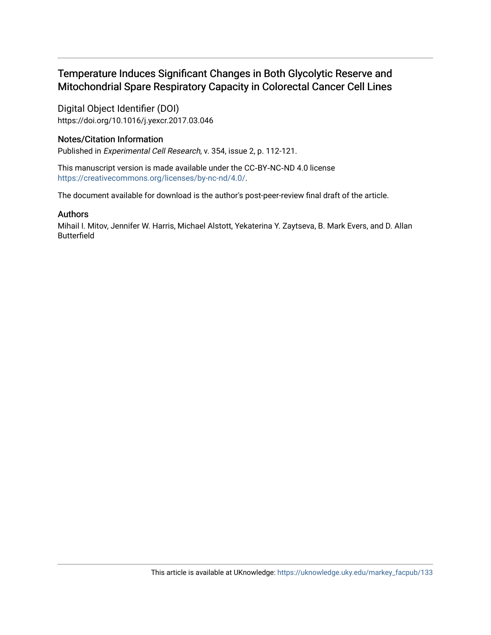### Temperature Induces Significant Changes in Both Glycolytic Reserve and Mitochondrial Spare Respiratory Capacity in Colorectal Cancer Cell Lines

Digital Object Identifier (DOI) https://doi.org/10.1016/j.yexcr.2017.03.046

### Notes/Citation Information

Published in Experimental Cell Research, v. 354, issue 2, p. 112-121.

This manuscript version is made available under the CC‐BY‐NC‐ND 4.0 license <https://creativecommons.org/licenses/by-nc-nd/4.0/>.

The document available for download is the author's post-peer-review final draft of the article.

#### Authors

Mihail I. Mitov, Jennifer W. Harris, Michael Alstott, Yekaterina Y. Zaytseva, B. Mark Evers, and D. Allan Butterfield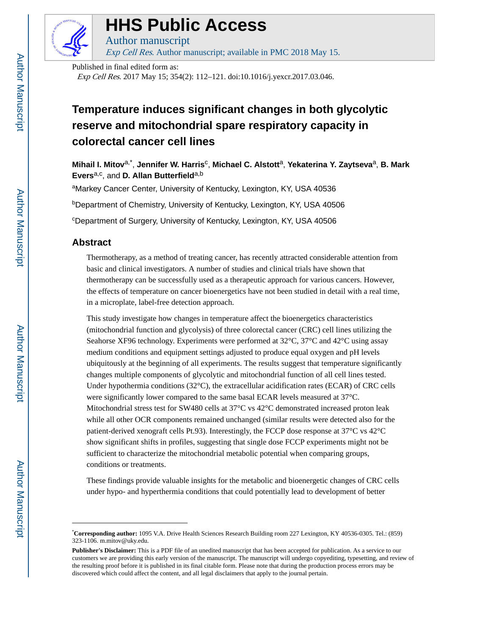

# **HHS Public Access**

Author manuscript Exp Cell Res. Author manuscript; available in PMC 2018 May 15.

Published in final edited form as:

Exp Cell Res. 2017 May 15; 354(2): 112–121. doi:10.1016/j.yexcr.2017.03.046.

## **Temperature induces significant changes in both glycolytic reserve and mitochondrial spare respiratory capacity in colorectal cancer cell lines**

**Mihail I. Mitov**a,\* , **Jennifer W. Harris**<sup>c</sup> , **Michael C. Alstott**a, **Yekaterina Y. Zaytseva**a, **B. Mark Evers**<sup>a,c</sup>, and **D. Allan Butterfield**<sup>a,b</sup>

aMarkey Cancer Center, University of Kentucky, Lexington, KY, USA 40536

<sup>b</sup>Department of Chemistry, University of Kentucky, Lexington, KY, USA 40506

<sup>c</sup>Department of Surgery, University of Kentucky, Lexington, KY, USA 40506

#### **Abstract**

Thermotherapy, as a method of treating cancer, has recently attracted considerable attention from basic and clinical investigators. A number of studies and clinical trials have shown that thermotherapy can be successfully used as a therapeutic approach for various cancers. However, the effects of temperature on cancer bioenergetics have not been studied in detail with a real time, in a microplate, label-free detection approach.

This study investigate how changes in temperature affect the bioenergetics characteristics (mitochondrial function and glycolysis) of three colorectal cancer (CRC) cell lines utilizing the Seahorse XF96 technology. Experiments were performed at 32°C, 37°C and 42°C using assay medium conditions and equipment settings adjusted to produce equal oxygen and pH levels ubiquitously at the beginning of all experiments. The results suggest that temperature significantly changes multiple components of glycolytic and mitochondrial function of all cell lines tested. Under hypothermia conditions (32°C), the extracellular acidification rates (ECAR) of CRC cells were significantly lower compared to the same basal ECAR levels measured at 37°C. Mitochondrial stress test for SW480 cells at  $37^{\circ}$ C vs  $42^{\circ}$ C demonstrated increased proton leak while all other OCR components remained unchanged (similar results were detected also for the patient-derived xenograft cells Pt.93). Interestingly, the FCCP dose response at 37°C vs 42°C show significant shifts in profiles, suggesting that single dose FCCP experiments might not be sufficient to characterize the mitochondrial metabolic potential when comparing groups, conditions or treatments.

These findings provide valuable insights for the metabolic and bioenergetic changes of CRC cells under hypo- and hyperthermia conditions that could potentially lead to development of better

<sup>\*</sup>**Corresponding author:** 1095 V.A. Drive Health Sciences Research Building room 227 Lexington, KY 40536-0305. Tel.: (859) 323-1106. m.mitov@uky.edu.

**Publisher's Disclaimer:** This is a PDF file of an unedited manuscript that has been accepted for publication. As a service to our customers we are providing this early version of the manuscript. The manuscript will undergo copyediting, typesetting, and review of the resulting proof before it is published in its final citable form. Please note that during the production process errors may be discovered which could affect the content, and all legal disclaimers that apply to the journal pertain.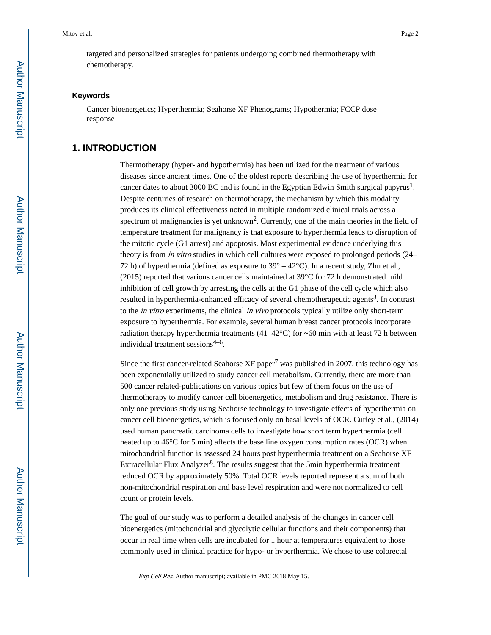targeted and personalized strategies for patients undergoing combined thermotherapy with chemotherapy.

#### **Keywords**

Cancer bioenergetics; Hyperthermia; Seahorse XF Phenograms; Hypothermia; FCCP dose response

#### **1. INTRODUCTION**

Thermotherapy (hyper- and hypothermia) has been utilized for the treatment of various diseases since ancient times. One of the oldest reports describing the use of hyperthermia for cancer dates to about 3000 BC and is found in the Egyptian Edwin Smith surgical papyrus<sup>1</sup>. Despite centuries of research on thermotherapy, the mechanism by which this modality produces its clinical effectiveness noted in multiple randomized clinical trials across a spectrum of malignancies is yet unknown<sup>2</sup>. Currently, one of the main theories in the field of temperature treatment for malignancy is that exposure to hyperthermia leads to disruption of the mitotic cycle (G1 arrest) and apoptosis. Most experimental evidence underlying this theory is from in vitro studies in which cell cultures were exposed to prolonged periods (24– 72 h) of hyperthermia (defined as exposure to  $39^{\circ} - 42^{\circ}$ C). In a recent study, Zhu et al., (2015) reported that various cancer cells maintained at 39°C for 72 h demonstrated mild inhibition of cell growth by arresting the cells at the G1 phase of the cell cycle which also resulted in hyperthermia-enhanced efficacy of several chemotherapeutic agents<sup>3</sup>. In contrast to the *in vitro* experiments, the clinical *in vivo* protocols typically utilize only short-term exposure to hyperthermia. For example, several human breast cancer protocols incorporate radiation therapy hyperthermia treatments  $(41-42^{\circ}\text{C})$  for ~60 min with at least 72 h between individual treatment sessions<sup>4-6</sup>.

Since the first cancer-related Seahorse XF paper<sup>7</sup> was published in 2007, this technology has been exponentially utilized to study cancer cell metabolism. Currently, there are more than 500 cancer related-publications on various topics but few of them focus on the use of thermotherapy to modify cancer cell bioenergetics, metabolism and drug resistance. There is only one previous study using Seahorse technology to investigate effects of hyperthermia on cancer cell bioenergetics, which is focused only on basal levels of OCR. Curley et al., (2014) used human pancreatic carcinoma cells to investigate how short term hyperthermia (cell heated up to 46<sup>o</sup>C for 5 min) affects the base line oxygen consumption rates (OCR) when mitochondrial function is assessed 24 hours post hyperthermia treatment on a Seahorse XF Extracellular Flux Analyzer<sup>8</sup>. The results suggest that the 5min hyperthermia treatment reduced OCR by approximately 50%. Total OCR levels reported represent a sum of both non-mitochondrial respiration and base level respiration and were not normalized to cell count or protein levels.

The goal of our study was to perform a detailed analysis of the changes in cancer cell bioenergetics (mitochondrial and glycolytic cellular functions and their components) that occur in real time when cells are incubated for 1 hour at temperatures equivalent to those commonly used in clinical practice for hypo- or hyperthermia. We chose to use colorectal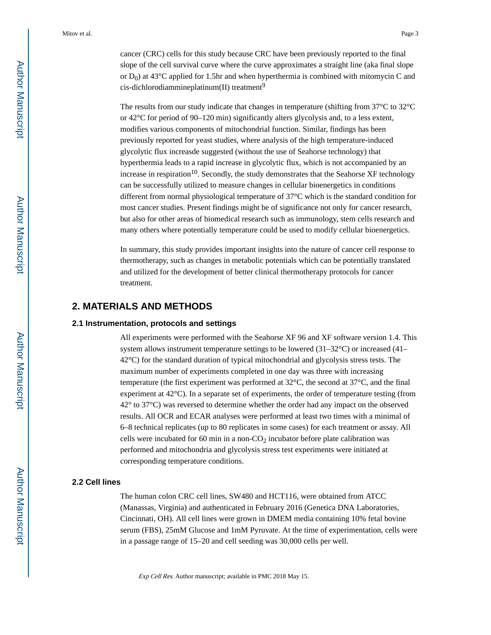cancer (CRC) cells for this study because CRC have been previously reported to the final slope of the cell survival curve where the curve approximates a straight line (aka final slope or  $D_0$ ) at 43<sup>o</sup>C applied for 1.5hr and when hyperthermia is combined with mitomycin C and cis-dichlorodiammineplatinum(II) treatment<sup>9</sup>

The results from our study indicate that changes in temperature (shifting from  $37^{\circ}$ C to  $32^{\circ}$ C) or 42°C for period of 90–120 min) significantly alters glycolysis and, to a less extent, modifies various components of mitochondrial function. Similar, findings has been previously reported for yeast studies, where analysis of the high temperature-induced glycolytic flux increasde suggested (without the use of Seahorse technology) that hyperthermia leads to a rapid increase in glycolytic flux, which is not accompanied by an increase in respiration<sup>10</sup>. Secondly, the study demonstrates that the Seahorse XF technology can be successfully utilized to measure changes in cellular bioenergetics in conditions different from normal physiological temperature of 37°C which is the standard condition for most cancer studies. Present findings might be of significance not only for cancer research, but also for other areas of biomedical research such as immunology, stem cells research and many others where potentially temperature could be used to modify cellular bioenergetics.

In summary, this study provides important insights into the nature of cancer cell response to thermotherapy, such as changes in metabolic potentials which can be potentially translated and utilized for the development of better clinical thermotherapy protocols for cancer treatment.

#### **2. MATERIALS AND METHODS**

#### **2.1 Instrumentation, protocols and settings**

All experiments were performed with the Seahorse XF 96 and XF software version 1.4. This system allows instrument temperature settings to be lowered  $(31-32^{\circ}C)$  or increased  $(41 42^{\circ}$ C) for the standard duration of typical mitochondrial and glycolysis stress tests. The maximum number of experiments completed in one day was three with increasing temperature (the first experiment was performed at 32°C, the second at 37°C, and the final experiment at 42°C). In a separate set of experiments, the order of temperature testing (from 42° to 37°C) was reversed to determine whether the order had any impact on the observed results. All OCR and ECAR analyses were performed at least two times with a minimal of 6–8 technical replicates (up to 80 replicates in some cases) for each treatment or assay. All cells were incubated for 60 min in a non- $CO<sub>2</sub>$  incubator before plate calibration was performed and mitochondria and glycolysis stress test experiments were initiated at corresponding temperature conditions.

#### **2.2 Cell lines**

The human colon CRC cell lines, SW480 and HCT116, were obtained from ATCC (Manassas, Virginia) and authenticated in February 2016 (Genetica DNA Laboratories, Cincinnati, OH). All cell lines were grown in DMEM media containing 10% fetal bovine serum (FBS), 25mM Glucose and 1mM Pyruvate. At the time of experimentation, cells were in a passage range of 15–20 and cell seeding was 30,000 cells per well.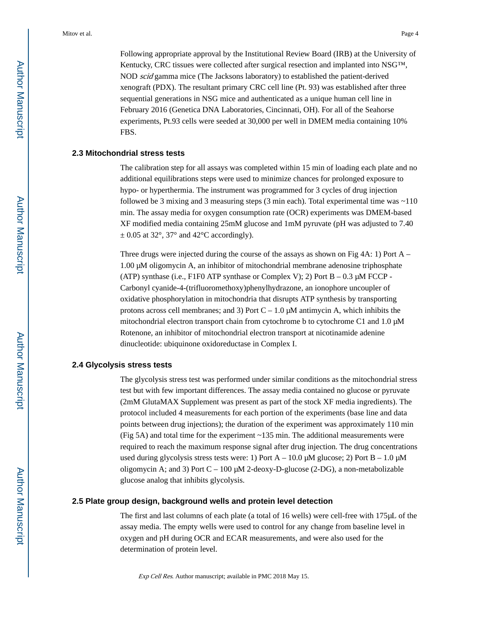Following appropriate approval by the Institutional Review Board (IRB) at the University of Kentucky, CRC tissues were collected after surgical resection and implanted into NSG™, NOD scid gamma mice (The Jacksons laboratory) to established the patient-derived xenograft (PDX). The resultant primary CRC cell line (Pt. 93) was established after three sequential generations in NSG mice and authenticated as a unique human cell line in February 2016 (Genetica DNA Laboratories, Cincinnati, OH). For all of the Seahorse experiments, Pt.93 cells were seeded at 30,000 per well in DMEM media containing 10% FBS.

#### **2.3 Mitochondrial stress tests**

The calibration step for all assays was completed within 15 min of loading each plate and no additional equilibrations steps were used to minimize chances for prolonged exposure to hypo- or hyperthermia. The instrument was programmed for 3 cycles of drug injection followed be 3 mixing and 3 measuring steps (3 min each). Total experimental time was ~110 min. The assay media for oxygen consumption rate (OCR) experiments was DMEM-based XF modified media containing 25mM glucose and 1mM pyruvate (pH was adjusted to 7.40  $\pm$  0.05 at 32°, 37° and 42°C accordingly).

Three drugs were injected during the course of the assays as shown on Fig  $4A: 1$ ) Port A – 1.00 μM oligomycin A, an inhibitor of mitochondrial membrane adenosine triphosphate (ATP) synthase (i.e., F1F0 ATP synthase or Complex V); 2) Port  $B - 0.3 \mu M$  FCCP -Carbonyl cyanide-4-(trifluoromethoxy)phenylhydrazone, an ionophore uncoupler of oxidative phosphorylation in mitochondria that disrupts ATP synthesis by transporting protons across cell membranes; and 3) Port C – 1.0 μM antimycin A, which inhibits the mitochondrial electron transport chain from cytochrome b to cytochrome C1 and 1.0 μM Rotenone, an inhibitor of mitochondrial electron transport at nicotinamide adenine dinucleotide: ubiquinone oxidoreductase in Complex I.

#### **2.4 Glycolysis stress tests**

The glycolysis stress test was performed under similar conditions as the mitochondrial stress test but with few important differences. The assay media contained no glucose or pyruvate (2mM GlutaMAX Supplement was present as part of the stock XF media ingredients). The protocol included 4 measurements for each portion of the experiments (base line and data points between drug injections); the duration of the experiment was approximately 110 min (Fig 5A) and total time for the experiment ~135 min. The additional measurements were required to reach the maximum response signal after drug injection. The drug concentrations used during glycolysis stress tests were: 1) Port  $A - 10.0 \mu M$  glucose; 2) Port  $B - 1.0 \mu M$ oligomycin A; and 3) Port  $C - 100 \mu M$  2-deoxy-D-glucose (2-DG), a non-metabolizable glucose analog that inhibits glycolysis.

#### **2.5 Plate group design, background wells and protein level detection**

The first and last columns of each plate (a total of 16 wells) were cell-free with 175μL of the assay media. The empty wells were used to control for any change from baseline level in oxygen and pH during OCR and ECAR measurements, and were also used for the determination of protein level.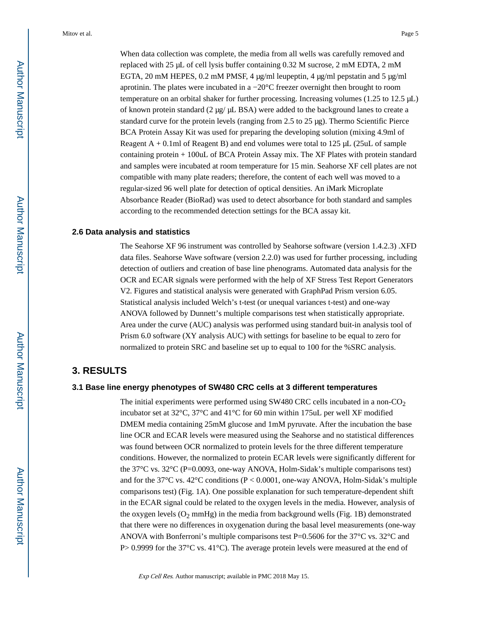When data collection was complete, the media from all wells was carefully removed and replaced with 25 μL of cell lysis buffer containing 0.32 M sucrose, 2 mM EDTA, 2 mM EGTA, 20 mM HEPES, 0.2 mM PMSF, 4 μg/ml leupeptin, 4 μg/ml pepstatin and 5 μg/ml aprotinin. The plates were incubated in a −20°C freezer overnight then brought to room temperature on an orbital shaker for further processing. Increasing volumes (1.25 to 12.5 μL) of known protein standard (2 μg/ μL BSA) were added to the background lanes to create a standard curve for the protein levels (ranging from 2.5 to 25  $\mu$ g). Thermo Scientific Pierce BCA Protein Assay Kit was used for preparing the developing solution (mixing 4.9ml of Reagent  $A + 0.1$ ml of Reagent B) and end volumes were total to 125  $\mu$ L (25uL of sample containing protein + 100uL of BCA Protein Assay mix. The XF Plates with protein standard and samples were incubated at room temperature for 15 min. Seahorse XF cell plates are not compatible with many plate readers; therefore, the content of each well was moved to a regular-sized 96 well plate for detection of optical densities. An iMark Microplate Absorbance Reader (BioRad) was used to detect absorbance for both standard and samples according to the recommended detection settings for the BCA assay kit.

#### **2.6 Data analysis and statistics**

The Seahorse XF 96 instrument was controlled by Seahorse software (version 1.4.2.3) .XFD data files. Seahorse Wave software (version 2.2.0) was used for further processing, including detection of outliers and creation of base line phenograms. Automated data analysis for the OCR and ECAR signals were performed with the help of XF Stress Test Report Generators V2. Figures and statistical analysis were generated with GraphPad Prism version 6.05. Statistical analysis included Welch's t-test (or unequal variances t-test) and one-way ANOVA followed by Dunnett's multiple comparisons test when statistically appropriate. Area under the curve (AUC) analysis was performed using standard buit-in analysis tool of Prism 6.0 software (XY analysis AUC) with settings for baseline to be equal to zero for normalized to protein SRC and baseline set up to equal to 100 for the %SRC analysis.

#### **3. RESULTS**

#### **3.1 Base line energy phenotypes of SW480 CRC cells at 3 different temperatures**

The initial experiments were performed using SW480 CRC cells incubated in a non- $CO<sub>2</sub>$ incubator set at 32°C, 37°C and 41°C for 60 min within 175uL per well XF modified DMEM media containing 25mM glucose and 1mM pyruvate. After the incubation the base line OCR and ECAR levels were measured using the Seahorse and no statistical differences was found between OCR normalized to protein levels for the three different temperature conditions. However, the normalized to protein ECAR levels were significantly different for the 37°C vs. 32°C (P=0.0093, one-way ANOVA, Holm-Sidak's multiple comparisons test) and for the 37 $\rm{°C}$  vs. 42 $\rm{°C}$  conditions (P < 0.0001, one-way ANOVA, Holm-Sidak's multiple comparisons test) (Fig. 1A). One possible explanation for such temperature-dependent shift in the ECAR signal could be related to the oxygen levels in the media. However, analysis of the oxygen levels ( $O_2$  mmHg) in the media from background wells (Fig. 1B) demonstrated that there were no differences in oxygenation during the basal level measurements (one-way ANOVA with Bonferroni's multiple comparisons test P=0.5606 for the  $37^{\circ}$ C vs.  $32^{\circ}$ C and P $> 0.9999$  for the 37<sup>°</sup>C vs. 41<sup>°</sup>C). The average protein levels were measured at the end of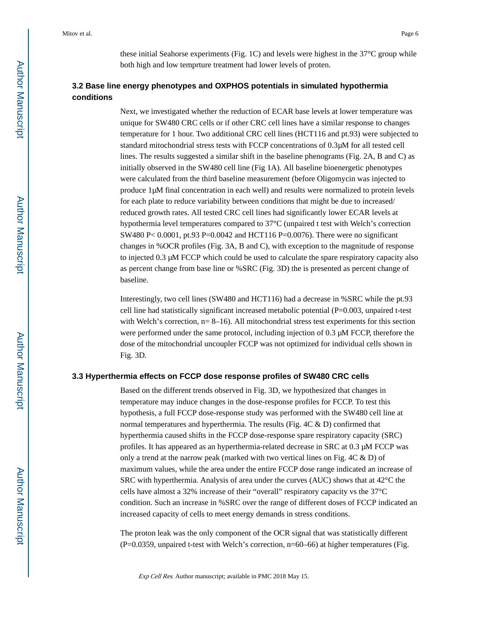these initial Seahorse experiments (Fig. 1C) and levels were highest in the 37°C group while both high and low temprture treatment had lower levels of proten.

#### **3.2 Base line energy phenotypes and OXPHOS potentials in simulated hypothermia conditions**

Next, we investigated whether the reduction of ECAR base levels at lower temperature was unique for SW480 CRC cells or if other CRC cell lines have a similar response to changes temperature for 1 hour. Two additional CRC cell lines (HCT116 and pt.93) were subjected to standard mitochondrial stress tests with FCCP concentrations of 0.3μM for all tested cell lines. The results suggested a similar shift in the baseline phenograms (Fig. 2A, B and C) as initially observed in the SW480 cell line (Fig 1A). All baseline bioenergetic phenotypes were calculated from the third baseline measurement (before Oligomycin was injected to produce 1μM final concentration in each well) and results were normalized to protein levels for each plate to reduce variability between conditions that might be due to increased/ reduced growth rates. All tested CRC cell lines had significantly lower ECAR levels at hypothermia level temperatures compared to 37°C (unpaired t test with Welch's correction SW480 P< 0.0001, pt.93 P=0.0042 and HCT116 P=0.0076). There were no significant changes in %OCR profiles (Fig. 3A, B and C), with exception to the magnitude of response to injected 0.3 μM FCCP which could be used to calculate the spare respiratory capacity also as percent change from base line or %SRC (Fig. 3D) the is presented as percent change of baseline.

Interestingly, two cell lines (SW480 and HCT116) had a decrease in %SRC while the pt.93 cell line had statistically significant increased metabolic potential (P=0.003, unpaired t-test with Welch's correction,  $n= 8-16$ ). All mitochondrial stress test experiments for this section were performed under the same protocol, including injection of 0.3 μM FCCP, therefore the dose of the mitochondrial uncoupler FCCP was not optimized for individual cells shown in Fig. 3D.

#### **3.3 Hyperthermia effects on FCCP dose response profiles of SW480 CRC cells**

Based on the different trends observed in Fig. 3D, we hypothesized that changes in temperature may induce changes in the dose-response profiles for FCCP. To test this hypothesis, a full FCCP dose-response study was performed with the SW480 cell line at normal temperatures and hyperthermia. The results (Fig. 4C & D) confirmed that hyperthermia caused shifts in the FCCP dose-response spare respiratory capacity (SRC) profiles. It has appeared as an hyperthermia-related decrease in SRC at 0.3 μM FCCP was only a trend at the narrow peak (marked with two vertical lines on Fig. 4C & D) of maximum values, while the area under the entire FCCP dose range indicated an increase of SRC with hyperthermia. Analysis of area under the curves (AUC) shows that at 42°C the cells have almost a 32% increase of their "overall" respiratory capacity vs the 37°C condition. Such an increase in %SRC over the range of different doses of FCCP indicated an increased capacity of cells to meet energy demands in stress conditions.

The proton leak was the only component of the OCR signal that was statistically different (P=0.0359, unpaired t-test with Welch's correction, n=60–66) at higher temperatures (Fig.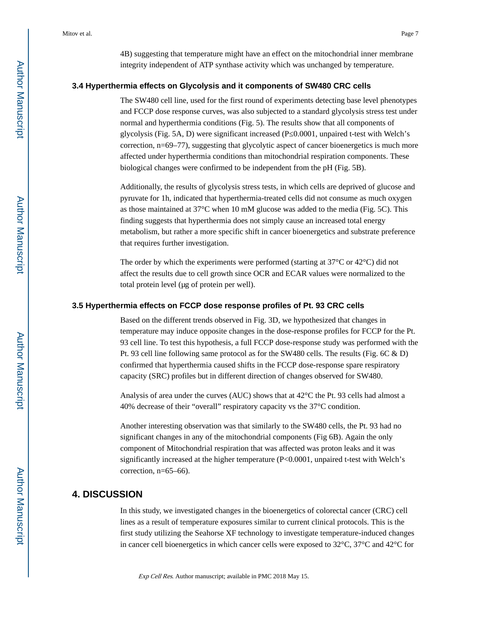4B) suggesting that temperature might have an effect on the mitochondrial inner membrane integrity independent of ATP synthase activity which was unchanged by temperature.

#### **3.4 Hyperthermia effects on Glycolysis and it components of SW480 CRC cells**

The SW480 cell line, used for the first round of experiments detecting base level phenotypes and FCCP dose response curves, was also subjected to a standard glycolysis stress test under normal and hyperthermia conditions (Fig. 5). The results show that all components of glycolysis (Fig. 5A, D) were significant increased (P $\,0.0001$ , unpaired t-test with Welch's correction, n=69–77), suggesting that glycolytic aspect of cancer bioenergetics is much more affected under hyperthermia conditions than mitochondrial respiration components. These biological changes were confirmed to be independent from the pH (Fig. 5B).

Additionally, the results of glycolysis stress tests, in which cells are deprived of glucose and pyruvate for 1h, indicated that hyperthermia-treated cells did not consume as much oxygen as those maintained at 37°C when 10 mM glucose was added to the media (Fig. 5C). This finding suggests that hyperthermia does not simply cause an increased total energy metabolism, but rather a more specific shift in cancer bioenergetics and substrate preference that requires further investigation.

The order by which the experiments were performed (starting at  $37^{\circ}$ C or  $42^{\circ}$ C) did not affect the results due to cell growth since OCR and ECAR values were normalized to the total protein level (μg of protein per well).

#### **3.5 Hyperthermia effects on FCCP dose response profiles of Pt. 93 CRC cells**

Based on the different trends observed in Fig. 3D, we hypothesized that changes in temperature may induce opposite changes in the dose-response profiles for FCCP for the Pt. 93 cell line. To test this hypothesis, a full FCCP dose-response study was performed with the Pt. 93 cell line following same protocol as for the SW480 cells. The results (Fig. 6C & D) confirmed that hyperthermia caused shifts in the FCCP dose-response spare respiratory capacity (SRC) profiles but in different direction of changes observed for SW480.

Analysis of area under the curves (AUC) shows that at 42°C the Pt. 93 cells had almost a 40% decrease of their "overall" respiratory capacity vs the 37°C condition.

Another interesting observation was that similarly to the SW480 cells, the Pt. 93 had no significant changes in any of the mitochondrial components (Fig 6B). Again the only component of Mitochondrial respiration that was affected was proton leaks and it was significantly increased at the higher temperature (P<0.0001, unpaired t-test with Welch's correction, n=65–66).

#### **4. DISCUSSION**

In this study, we investigated changes in the bioenergetics of colorectal cancer (CRC) cell lines as a result of temperature exposures similar to current clinical protocols. This is the first study utilizing the Seahorse XF technology to investigate temperature-induced changes in cancer cell bioenergetics in which cancer cells were exposed to  $32^{\circ}$ C,  $37^{\circ}$ C and  $42^{\circ}$ C for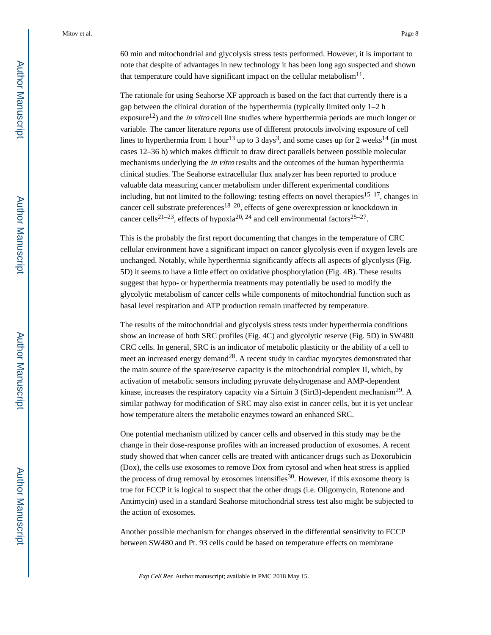60 min and mitochondrial and glycolysis stress tests performed. However, it is important to note that despite of advantages in new technology it has been long ago suspected and shown that temperature could have significant impact on the cellular metabolism $^{11}$ .

The rationale for using Seahorse XF approach is based on the fact that currently there is a gap between the clinical duration of the hyperthermia (typically limited only 1–2 h exposure<sup>12</sup>) and the *in vitro* cell line studies where hyperthermia periods are much longer or variable. The cancer literature reports use of different protocols involving exposure of cell lines to hyperthermia from 1 hour<sup>13</sup> up to 3 days<sup>3</sup>, and some cases up for 2 weeks<sup>14</sup> (in most cases 12–36 h) which makes difficult to draw direct parallels between possible molecular mechanisms underlying the *in vitro* results and the outcomes of the human hyperthermia clinical studies. The Seahorse extracellular flux analyzer has been reported to produce valuable data measuring cancer metabolism under different experimental conditions including, but not limited to the following: testing effects on novel therapies<sup>15–17</sup>, changes in cancer cell substrate preferences<sup>18–20</sup>, effects of gene overexpression or knockdown in cancer cells<sup>21–23</sup>, effects of hypoxia<sup>20, 24</sup> and cell environmental factors<sup>25–27</sup>.

This is the probably the first report documenting that changes in the temperature of CRC cellular environment have a significant impact on cancer glycolysis even if oxygen levels are unchanged. Notably, while hyperthermia significantly affects all aspects of glycolysis (Fig. 5D) it seems to have a little effect on oxidative phosphorylation (Fig. 4B). These results suggest that hypo- or hyperthermia treatments may potentially be used to modify the glycolytic metabolism of cancer cells while components of mitochondrial function such as basal level respiration and ATP production remain unaffected by temperature.

The results of the mitochondrial and glycolysis stress tests under hyperthermia conditions show an increase of both SRC profiles (Fig. 4C) and glycolytic reserve (Fig. 5D) in SW480 CRC cells. In general, SRC is an indicator of metabolic plasticity or the ability of a cell to meet an increased energy demand<sup>28</sup>. A recent study in cardiac myocytes demonstrated that the main source of the spare/reserve capacity is the mitochondrial complex II, which, by activation of metabolic sensors including pyruvate dehydrogenase and AMP-dependent kinase, increases the respiratory capacity via a Sirtuin 3 (Sirt3)-dependent mechanism<sup>29</sup>. A similar pathway for modification of SRC may also exist in cancer cells, but it is yet unclear how temperature alters the metabolic enzymes toward an enhanced SRC.

One potential mechanism utilized by cancer cells and observed in this study may be the change in their dose-response profiles with an increased production of exosomes. A recent study showed that when cancer cells are treated with anticancer drugs such as Doxorubicin (Dox), the cells use exosomes to remove Dox from cytosol and when heat stress is applied the process of drug removal by exosomes intensifies<sup>30</sup>. However, if this exosome theory is true for FCCP it is logical to suspect that the other drugs (i.e. Oligomycin, Rotenone and Antimycin) used in a standard Seahorse mitochondrial stress test also might be subjected to the action of exosomes.

Another possible mechanism for changes observed in the differential sensitivity to FCCP between SW480 and Pt. 93 cells could be based on temperature effects on membrane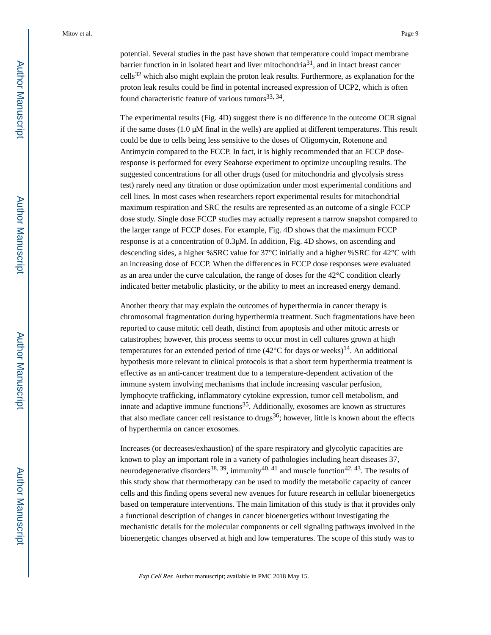potential. Several studies in the past have shown that temperature could impact membrane barrier function in in isolated heart and liver mitochondria $31$ , and in intact breast cancer cells32 which also might explain the proton leak results. Furthermore, as explanation for the proton leak results could be find in potental increased expression of UCP2, which is often found characteristic feature of various tumors<sup>33, 34</sup>.

The experimental results (Fig. 4D) suggest there is no difference in the outcome OCR signal if the same doses  $(1.0 \mu M \text{ final in the wells})$  are applied at different temperatures. This result could be due to cells being less sensitive to the doses of Oligomycin, Rotenone and Antimycin compared to the FCCP. In fact, it is highly recommended that an FCCP doseresponse is performed for every Seahorse experiment to optimize uncoupling results. The suggested concentrations for all other drugs (used for mitochondria and glycolysis stress test) rarely need any titration or dose optimization under most experimental conditions and cell lines. In most cases when researchers report experimental results for mitochondrial maximum respiration and SRC the results are represented as an outcome of a single FCCP dose study. Single dose FCCP studies may actually represent a narrow snapshot compared to the larger range of FCCP doses. For example, Fig. 4D shows that the maximum FCCP response is at a concentration of 0.3μM. In addition, Fig. 4D shows, on ascending and descending sides, a higher %SRC value for 37°C initially and a higher %SRC for 42°C with an increasing dose of FCCP. When the differences in FCCP dose responses were evaluated as an area under the curve calculation, the range of doses for the 42°C condition clearly indicated better metabolic plasticity, or the ability to meet an increased energy demand.

Another theory that may explain the outcomes of hyperthermia in cancer therapy is chromosomal fragmentation during hyperthermia treatment. Such fragmentations have been reported to cause mitotic cell death, distinct from apoptosis and other mitotic arrests or catastrophes; however, this process seems to occur most in cell cultures grown at high temperatures for an extended period of time  $(42^{\circ}$ C for days or weeks)<sup>14</sup>. An additional hypothesis more relevant to clinical protocols is that a short term hyperthermia treatment is effective as an anti-cancer treatment due to a temperature-dependent activation of the immune system involving mechanisms that include increasing vascular perfusion, lymphocyte trafficking, inflammatory cytokine expression, tumor cell metabolism, and innate and adaptive immune functions $35$ . Additionally, exosomes are known as structures that also mediate cancer cell resistance to drugs<sup>36</sup>; however, little is known about the effects of hyperthermia on cancer exosomes.

Increases (or decreases/exhaustion) of the spare respiratory and glycolytic capacities are known to play an important role in a variety of pathologies including heart diseases 37, neurodegenerative disorders<sup>38, 39</sup>, immunity<sup>40, 41</sup> and muscle function<sup>42, 43</sup>. The results of this study show that thermotherapy can be used to modify the metabolic capacity of cancer cells and this finding opens several new avenues for future research in cellular bioenergetics based on temperature interventions. The main limitation of this study is that it provides only a functional description of changes in cancer bioenergetics without investigating the mechanistic details for the molecular components or cell signaling pathways involved in the bioenergetic changes observed at high and low temperatures. The scope of this study was to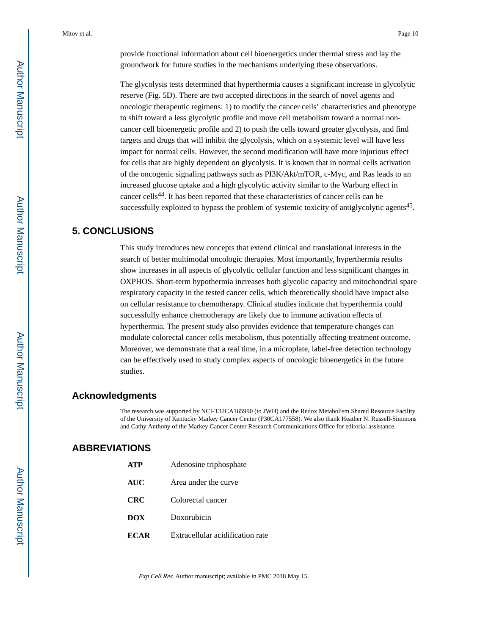provide functional information about cell bioenergetics under thermal stress and lay the groundwork for future studies in the mechanisms underlying these observations.

The glycolysis tests determined that hyperthermia causes a significant increase in glycolytic reserve (Fig. 5D). There are two accepted directions in the search of novel agents and oncologic therapeutic regimens: 1) to modify the cancer cells' characteristics and phenotype to shift toward a less glycolytic profile and move cell metabolism toward a normal noncancer cell bioenergetic profile and 2) to push the cells toward greater glycolysis, and find targets and drugs that will inhibit the glycolysis, which on a systemic level will have less impact for normal cells. However, the second modification will have more injurious effect for cells that are highly dependent on glycolysis. It is known that in normal cells activation of the oncogenic signaling pathways such as PI3K/Akt/mTOR, c-Myc, and Ras leads to an increased glucose uptake and a high glycolytic activity similar to the Warburg effect in cancer cells44. It has been reported that these characteristics of cancer cells can be successfully exploited to bypass the problem of systemic toxicity of antiglycolytic agents<sup>45</sup>.

### **5. CONCLUSIONS**

This study introduces new concepts that extend clinical and translational interests in the search of better multimodal oncologic therapies. Most importantly, hyperthermia results show increases in all aspects of glycolytic cellular function and less significant changes in OXPHOS. Short-term hypothermia increases both glycolic capacity and mitochondrial spare respiratory capacity in the tested cancer cells, which theoretically should have impact also on cellular resistance to chemotherapy. Clinical studies indicate that hyperthermia could successfully enhance chemotherapy are likely due to immune activation effects of hyperthermia. The present study also provides evidence that temperature changes can modulate colorectal cancer cells metabolism, thus potentially affecting treatment outcome. Moreover, we demonstrate that a real time, in a microplate, label-free detection technology can be effectively used to study complex aspects of oncologic bioenergetics in the future studies.

#### **Acknowledgments**

The research was supported by NCI-T32CA165990 (to JWH) and the Redox Metabolism Shared Resource Facility of the University of Kentucky Markey Cancer Center (P30CA177558). We also thank Heather N. Russell-Simmons and Cathy Anthony of the Markey Cancer Center Research Communications Office for editorial assistance.

#### **ABBREVIATIONS**

| <b>ATP</b>  | Adenosine triphosphate           |
|-------------|----------------------------------|
| AUC         | Area under the curve             |
| <b>CRC</b>  | Colorectal cancer                |
| <b>DOX</b>  | Doxorubicin                      |
| <b>ECAR</b> | Extracellular acidification rate |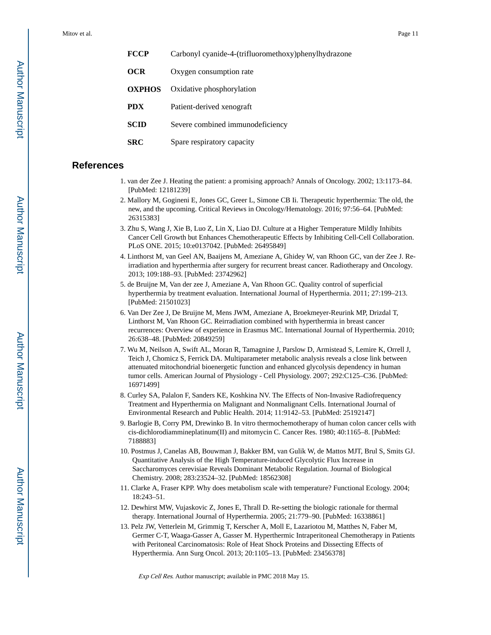| <b>FCCP</b>   | Carbonyl cyanide-4-(trifluoromethoxy) phenyl hydrazone |
|---------------|--------------------------------------------------------|
| OCR           | Oxygen consumption rate                                |
| <b>OXPHOS</b> | Oxidative phosphorylation                              |
| <b>PDX</b>    | Patient-derived xenograft                              |
| SCID          | Severe combined immunodeficiency                       |
|               |                                                        |

**SRC** Spare respiratory capacity

#### **References**

- 1. van der Zee J. Heating the patient: a promising approach? Annals of Oncology. 2002; 13:1173–84. [PubMed: 12181239]
- 2. Mallory M, Gogineni E, Jones GC, Greer L, Simone CB Ii. Therapeutic hyperthermia: The old, the new, and the upcoming. Critical Reviews in Oncology/Hematology. 2016; 97:56–64. [PubMed: 26315383]
- 3. Zhu S, Wang J, Xie B, Luo Z, Lin X, Liao DJ. Culture at a Higher Temperature Mildly Inhibits Cancer Cell Growth but Enhances Chemotherapeutic Effects by Inhibiting Cell-Cell Collaboration. PLoS ONE. 2015; 10:e0137042. [PubMed: 26495849]
- 4. Linthorst M, van Geel AN, Baaijens M, Ameziane A, Ghidey W, van Rhoon GC, van der Zee J. Reirradiation and hyperthermia after surgery for recurrent breast cancer. Radiotherapy and Oncology. 2013; 109:188–93. [PubMed: 23742962]
- 5. de Bruijne M, Van der zee J, Ameziane A, Van Rhoon GC. Quality control of superficial hyperthermia by treatment evaluation. International Journal of Hyperthermia. 2011; 27:199–213. [PubMed: 21501023]
- 6. Van Der Zee J, De Bruijne M, Mens JWM, Ameziane A, Broekmeyer-Reurink MP, Drizdal T, Linthorst M, Van Rhoon GC. Reirradiation combined with hyperthermia in breast cancer recurrences: Overview of experience in Erasmus MC. International Journal of Hyperthermia. 2010; 26:638–48. [PubMed: 20849259]
- 7. Wu M, Neilson A, Swift AL, Moran R, Tamagnine J, Parslow D, Armistead S, Lemire K, Orrell J, Teich J, Chomicz S, Ferrick DA. Multiparameter metabolic analysis reveals a close link between attenuated mitochondrial bioenergetic function and enhanced glycolysis dependency in human tumor cells. American Journal of Physiology - Cell Physiology. 2007; 292:C125–C36. [PubMed: 16971499]
- 8. Curley SA, Palalon F, Sanders KE, Koshkina NV. The Effects of Non-Invasive Radiofrequency Treatment and Hyperthermia on Malignant and Nonmalignant Cells. International Journal of Environmental Research and Public Health. 2014; 11:9142–53. [PubMed: 25192147]
- 9. Barlogie B, Corry PM, Drewinko B. In vitro thermochemotherapy of human colon cancer cells with cis-dichlorodiammineplatinum(II) and mitomycin C. Cancer Res. 1980; 40:1165–8. [PubMed: 7188883]
- 10. Postmus J, Canelas AB, Bouwman J, Bakker BM, van Gulik W, de Mattos MJT, Brul S, Smits GJ. Quantitative Analysis of the High Temperature-induced Glycolytic Flux Increase in Saccharomyces cerevisiae Reveals Dominant Metabolic Regulation. Journal of Biological Chemistry. 2008; 283:23524–32. [PubMed: 18562308]
- 11. Clarke A, Fraser KPP. Why does metabolism scale with temperature? Functional Ecology. 2004; 18:243–51.
- 12. Dewhirst MW, Vujaskovic Z, Jones E, Thrall D. Re-setting the biologic rationale for thermal therapy. International Journal of Hyperthermia. 2005; 21:779–90. [PubMed: 16338861]
- 13. Pelz JW, Vetterlein M, Grimmig T, Kerscher A, Moll E, Lazariotou M, Matthes N, Faber M, Germer C-T, Waaga-Gasser A, Gasser M. Hyperthermic Intraperitoneal Chemotherapy in Patients with Peritoneal Carcinomatosis: Role of Heat Shock Proteins and Dissecting Effects of Hyperthermia. Ann Surg Oncol. 2013; 20:1105–13. [PubMed: 23456378]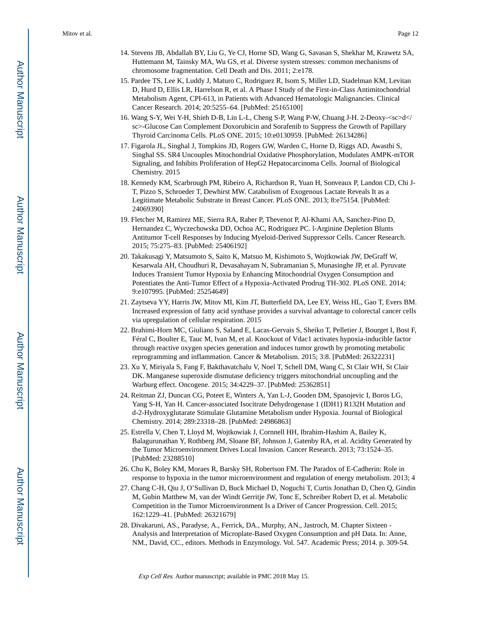- 14. Stevens JB, Abdallah BY, Liu G, Ye CJ, Horne SD, Wang G, Savasan S, Shekhar M, Krawetz SA, Huttemann M, Tainsky MA, Wu GS, et al. Diverse system stresses: common mechanisms of chromosome fragmentation. Cell Death and Dis. 2011; 2:e178.
- 15. Pardee TS, Lee K, Luddy J, Maturo C, Rodriguez R, Isom S, Miller LD, Stadelman KM, Levitan D, Hurd D, Ellis LR, Harrelson R, et al. A Phase I Study of the First-in-Class Antimitochondrial Metabolism Agent, CPI-613, in Patients with Advanced Hematologic Malignancies. Clinical Cancer Research. 2014; 20:5255–64. [PubMed: 25165100]
- 16. Wang S-Y, Wei Y-H, Shieh D-B, Lin L-L, Cheng S-P, Wang P-W, Chuang J-H. 2-Deoxy-<sc>d</ sc>-Glucose Can Complement Doxorubicin and Sorafenib to Suppress the Growth of Papillary Thyroid Carcinoma Cells. PLoS ONE. 2015; 10:e0130959. [PubMed: 26134286]
- 17. Figarola JL, Singhal J, Tompkins JD, Rogers GW, Warden C, Horne D, Riggs AD, Awasthi S, Singhal SS. SR4 Uncouples Mitochondrial Oxidative Phosphorylation, Modulates AMPK-mTOR Signaling, and Inhibits Proliferation of HepG2 Hepatocarcinoma Cells. Journal of Biological Chemistry. 2015
- 18. Kennedy KM, Scarbrough PM, Ribeiro A, Richardson R, Yuan H, Sonveaux P, Landon CD, Chi J-T, Pizzo S, Schroeder T, Dewhirst MW. Catabolism of Exogenous Lactate Reveals It as a Legitimate Metabolic Substrate in Breast Cancer. PLoS ONE. 2013; 8:e75154. [PubMed: 24069390]
- 19. Fletcher M, Ramirez ME, Sierra RA, Raber P, Thevenot P, Al-Khami AA, Sanchez-Pino D, Hernandez C, Wyczechowska DD, Ochoa AC, Rodriguez PC. l-Arginine Depletion Blunts Antitumor T-cell Responses by Inducing Myeloid-Derived Suppressor Cells. Cancer Research. 2015; 75:275–83. [PubMed: 25406192]
- 20. Takakusagi Y, Matsumoto S, Saito K, Matsuo M, Kishimoto S, Wojtkowiak JW, DeGraff W, Kesarwala AH, Choudhuri R, Devasahayam N, Subramanian S, Munasinghe JP, et al. Pyruvate Induces Transient Tumor Hypoxia by Enhancing Mitochondrial Oxygen Consumption and Potentiates the Anti-Tumor Effect of a Hypoxia-Activated Prodrug TH-302. PLoS ONE. 2014; 9:e107995. [PubMed: 25254649]
- 21. Zaytseva YY, Harris JW, Mitov MI, Kim JT, Butterfield DA, Lee EY, Weiss HL, Gao T, Evers BM. Increased expression of fatty acid synthase provides a survival advantage to colorectal cancer cells via upregulation of cellular respiration. 2015
- 22. Brahimi-Horn MC, Giuliano S, Saland E, Lacas-Gervais S, Sheiko T, Pelletier J, Bourget I, Bost F, Féral C, Boulter E, Tauc M, Ivan M, et al. Knockout of Vdac1 activates hypoxia-inducible factor through reactive oxygen species generation and induces tumor growth by promoting metabolic reprogramming and inflammation. Cancer & Metabolism. 2015; 3:8. [PubMed: 26322231]
- 23. Xu Y, Miriyala S, Fang F, Bakthavatchalu V, Noel T, Schell DM, Wang C, St Clair WH, St Clair DK. Manganese superoxide dismutase deficiency triggers mitochondrial uncoupling and the Warburg effect. Oncogene. 2015; 34:4229–37. [PubMed: 25362851]
- 24. Reitman ZJ, Duncan CG, Poteet E, Winters A, Yan L-J, Gooden DM, Spasojevic I, Boros LG, Yang S-H, Yan H. Cancer-associated Isocitrate Dehydrogenase 1 (IDH1) R132H Mutation and d-2-Hydroxyglutarate Stimulate Glutamine Metabolism under Hypoxia. Journal of Biological Chemistry. 2014; 289:23318–28. [PubMed: 24986863]
- 25. Estrella V, Chen T, Lloyd M, Wojtkowiak J, Cornnell HH, Ibrahim-Hashim A, Bailey K, Balagurunathan Y, Rothberg JM, Sloane BF, Johnson J, Gatenby RA, et al. Acidity Generated by the Tumor Microenvironment Drives Local Invasion. Cancer Research. 2013; 73:1524–35. [PubMed: 23288510]
- 26. Chu K, Boley KM, Moraes R, Barsky SH, Robertson FM. The Paradox of E-Cadherin: Role in response to hypoxia in the tumor microenvironment and regulation of energy metabolism. 2013; 4
- 27. Chang C-H, Qiu J, O'Sullivan D, Buck Michael D, Noguchi T, Curtis Jonathan D, Chen Q, Gindin M, Gubin Matthew M, van der Windt Gerritje JW, Tonc E, Schreiber Robert D, et al. Metabolic Competition in the Tumor Microenvironment Is a Driver of Cancer Progression. Cell. 2015; 162:1229–41. [PubMed: 26321679]
- 28. Divakaruni, AS., Paradyse, A., Ferrick, DA., Murphy, AN., Jastroch, M. Chapter Sixteen Analysis and Interpretation of Microplate-Based Oxygen Consumption and pH Data. In: Anne, NM., David, CC., editors. Methods in Enzymology. Vol. 547. Academic Press; 2014. p. 309-54.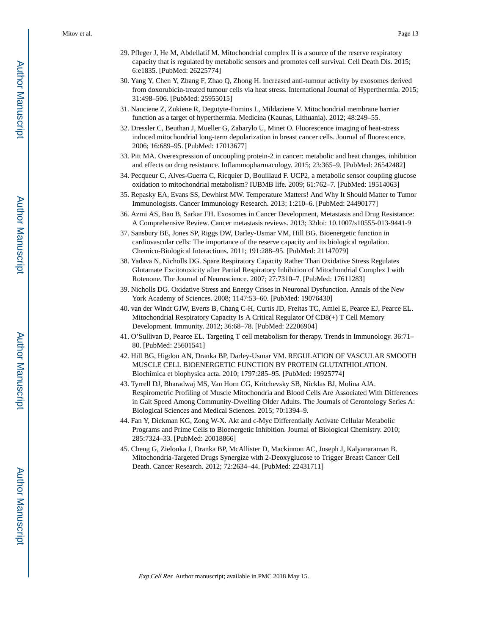- 29. Pfleger J, He M, Abdellatif M. Mitochondrial complex II is a source of the reserve respiratory capacity that is regulated by metabolic sensors and promotes cell survival. Cell Death Dis. 2015; 6:e1835. [PubMed: 26225774]
- 30. Yang Y, Chen Y, Zhang F, Zhao Q, Zhong H. Increased anti-tumour activity by exosomes derived from doxorubicin-treated tumour cells via heat stress. International Journal of Hyperthermia. 2015; 31:498–506. [PubMed: 25955015]
- 31. Nauciene Z, Zukiene R, Degutyte-Fomins L, Mildaziene V. Mitochondrial membrane barrier function as a target of hyperthermia. Medicina (Kaunas, Lithuania). 2012; 48:249–55.
- 32. Dressler C, Beuthan J, Mueller G, Zabarylo U, Minet O. Fluorescence imaging of heat-stress induced mitochondrial long-term depolarization in breast cancer cells. Journal of fluorescence. 2006; 16:689–95. [PubMed: 17013677]
- 33. Pitt MA. Overexpression of uncoupling protein-2 in cancer: metabolic and heat changes, inhibition and effects on drug resistance. Inflammopharmacology. 2015; 23:365–9. [PubMed: 26542482]
- 34. Pecqueur C, Alves-Guerra C, Ricquier D, Bouillaud F. UCP2, a metabolic sensor coupling glucose oxidation to mitochondrial metabolism? IUBMB life. 2009; 61:762–7. [PubMed: 19514063]
- 35. Repasky EA, Evans SS, Dewhirst MW. Temperature Matters! And Why It Should Matter to Tumor Immunologists. Cancer Immunology Research. 2013; 1:210–6. [PubMed: 24490177]
- 36. Azmi AS, Bao B, Sarkar FH. Exosomes in Cancer Development, Metastasis and Drug Resistance: A Comprehensive Review. Cancer metastasis reviews. 2013; 32doi: 10.1007/s10555-013-9441-9
- 37. Sansbury BE, Jones SP, Riggs DW, Darley-Usmar VM, Hill BG. Bioenergetic function in cardiovascular cells: The importance of the reserve capacity and its biological regulation. Chemico-Biological Interactions. 2011; 191:288–95. [PubMed: 21147079]
- 38. Yadava N, Nicholls DG. Spare Respiratory Capacity Rather Than Oxidative Stress Regulates Glutamate Excitotoxicity after Partial Respiratory Inhibition of Mitochondrial Complex I with Rotenone. The Journal of Neuroscience. 2007; 27:7310–7. [PubMed: 17611283]
- 39. Nicholls DG. Oxidative Stress and Energy Crises in Neuronal Dysfunction. Annals of the New York Academy of Sciences. 2008; 1147:53–60. [PubMed: 19076430]
- 40. van der Windt GJW, Everts B, Chang C-H, Curtis JD, Freitas TC, Amiel E, Pearce EJ, Pearce EL. Mitochondrial Respiratory Capacity Is A Critical Regulator Of CD8(+) T Cell Memory Development. Immunity. 2012; 36:68–78. [PubMed: 22206904]
- 41. O'Sullivan D, Pearce EL. Targeting T cell metabolism for therapy. Trends in Immunology. 36:71– 80. [PubMed: 25601541]
- 42. Hill BG, Higdon AN, Dranka BP, Darley-Usmar VM. REGULATION OF VASCULAR SMOOTH MUSCLE CELL BIOENERGETIC FUNCTION BY PROTEIN GLUTATHIOLATION. Biochimica et biophysica acta. 2010; 1797:285–95. [PubMed: 19925774]
- 43. Tyrrell DJ, Bharadwaj MS, Van Horn CG, Kritchevsky SB, Nicklas BJ, Molina AJA. Respirometric Profiling of Muscle Mitochondria and Blood Cells Are Associated With Differences in Gait Speed Among Community-Dwelling Older Adults. The Journals of Gerontology Series A: Biological Sciences and Medical Sciences. 2015; 70:1394–9.
- 44. Fan Y, Dickman KG, Zong W-X. Akt and c-Myc Differentially Activate Cellular Metabolic Programs and Prime Cells to Bioenergetic Inhibition. Journal of Biological Chemistry. 2010; 285:7324–33. [PubMed: 20018866]
- 45. Cheng G, Zielonka J, Dranka BP, McAllister D, Mackinnon AC, Joseph J, Kalyanaraman B. Mitochondria-Targeted Drugs Synergize with 2-Deoxyglucose to Trigger Breast Cancer Cell Death. Cancer Research. 2012; 72:2634–44. [PubMed: 22431711]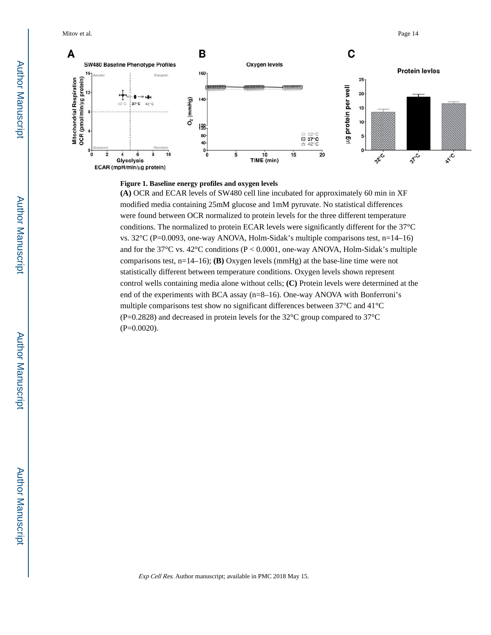

#### **Figure 1. Baseline energy profiles and oxygen levels**

**(A)** OCR and ECAR levels of SW480 cell line incubated for approximately 60 min in XF modified media containing 25mM glucose and 1mM pyruvate. No statistical differences were found between OCR normalized to protein levels for the three different temperature conditions. The normalized to protein ECAR levels were significantly different for the 37°C vs.  $32^{\circ}$ C (P=0.0093, one-way ANOVA, Holm-Sidak's multiple comparisons test, n=14–16) and for the 37 $\degree$ C vs. 42 $\degree$ C conditions (P < 0.0001, one-way ANOVA, Holm-Sidak's multiple comparisons test, n=14–16); **(B)** Oxygen levels (mmHg) at the base-line time were not statistically different between temperature conditions. Oxygen levels shown represent control wells containing media alone without cells; **(C)** Protein levels were determined at the end of the experiments with BCA assay (n=8–16). One-way ANOVA with Bonferroni's multiple comparisons test show no significant differences between 37°C and 41°C (P=0.2828) and decreased in protein levels for the 32°C group compared to 37°C  $(P=0.0020)$ .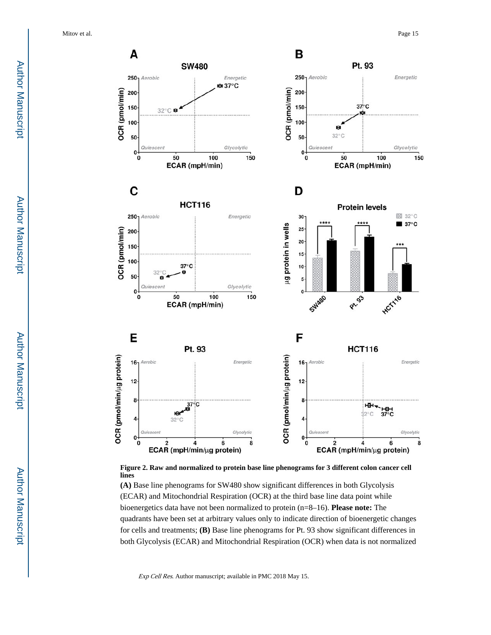



**(A)** Base line phenograms for SW480 show significant differences in both Glycolysis (ECAR) and Mitochondrial Respiration (OCR) at the third base line data point while bioenergetics data have not been normalized to protein (n=8–16). **Please note:** The quadrants have been set at arbitrary values only to indicate direction of bioenergetic changes for cells and treatments; **(B)** Base line phenograms for Pt. 93 show significant differences in both Glycolysis (ECAR) and Mitochondrial Respiration (OCR) when data is not normalized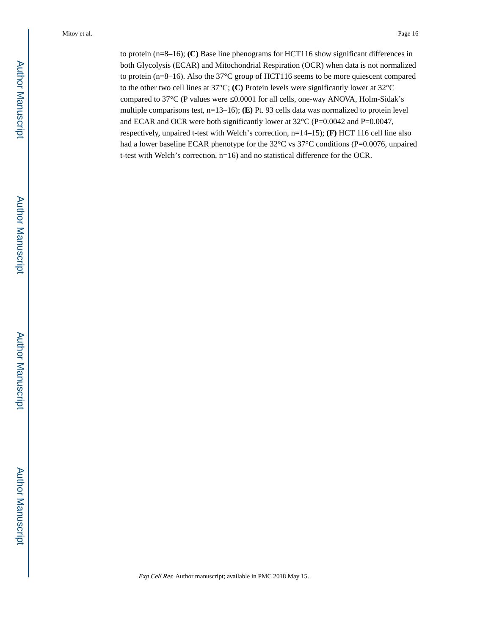to protein (n=8–16); **(C)** Base line phenograms for HCT116 show significant differences in both Glycolysis (ECAR) and Mitochondrial Respiration (OCR) when data is not normalized to protein (n=8–16). Also the 37°C group of HCT116 seems to be more quiescent compared to the other two cell lines at 37°C; **(C)** Protein levels were significantly lower at 32°C compared to 37°C (P values were 0.0001 for all cells, one-way ANOVA, Holm-Sidak's multiple comparisons test, n=13–16); **(E)** Pt. 93 cells data was normalized to protein level and ECAR and OCR were both significantly lower at 32°C (P=0.0042 and P=0.0047, respectively, unpaired t-test with Welch's correction, n=14–15); **(F)** HCT 116 cell line also had a lower baseline ECAR phenotype for the 32°C vs 37°C conditions (P=0.0076, unpaired t-test with Welch's correction, n=16) and no statistical difference for the OCR.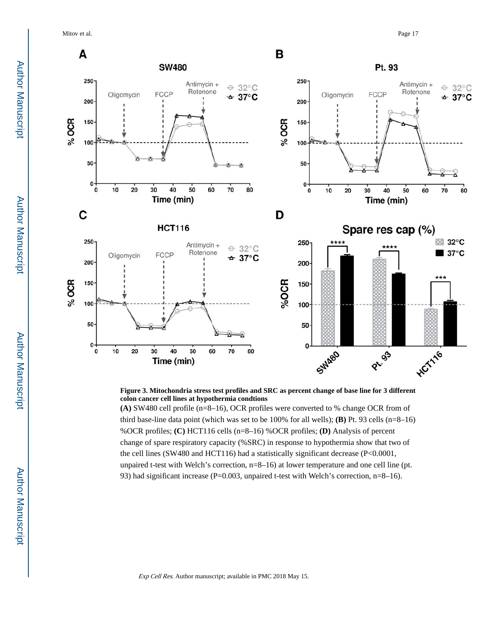Mitov et al. Page 17



**Figure 3. Mitochondria stress test profiles and SRC as percent change of base line for 3 different colon cancer cell lines at hypothermia condtions**

**(A)** SW480 cell profile (n=8–16), OCR profiles were converted to % change OCR from of third base-line data point (which was set to be 100% for all wells); **(B)** Pt. 93 cells (n=8–16) %OCR profiles; **(C)** HCT116 cells (n=8–16) %OCR profiles; **(D)** Analysis of percent change of spare respiratory capacity (%SRC) in response to hypothermia show that two of the cell lines (SW480 and HCT116) had a statistically significant decrease (P<0.0001, unpaired t-test with Welch's correction, n=8–16) at lower temperature and one cell line (pt. 93) had significant increase (P=0.003, unpaired t-test with Welch's correction, n=8–16).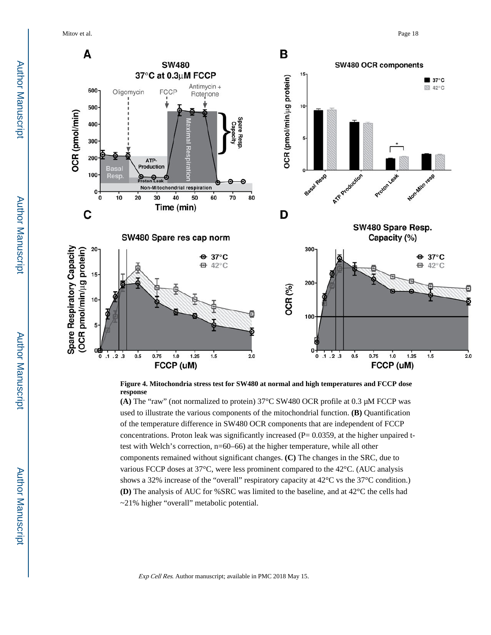Mitov et al. Page 18



**Figure 4. Mitochondria stress test for SW480 at normal and high temperatures and FCCP dose response**

**(A)** The "raw" (not normalized to protein) 37°C SW480 OCR profile at 0.3 μM FCCP was used to illustrate the various components of the mitochondrial function. **(B)** Quantification of the temperature difference in SW480 OCR components that are independent of FCCP concentrations. Proton leak was significantly increased  $(P= 0.0359)$ , at the higher unpaired ttest with Welch's correction, n=60–66) at the higher temperature, while all other components remained without significant changes. **(C)** The changes in the SRC, due to various FCCP doses at 37°C, were less prominent compared to the 42°C. (AUC analysis shows a 32% increase of the "overall" respiratory capacity at 42°C vs the 37°C condition.) **(D)** The analysis of AUC for %SRC was limited to the baseline, and at 42°C the cells had ~21% higher "overall" metabolic potential.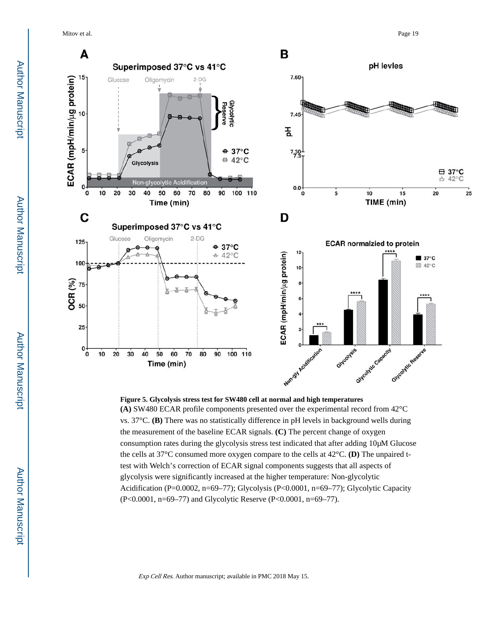Mitov et al. Page 19



**Figure 5. Glycolysis stress test for SW480 cell at normal and high temperatures (A)** SW480 ECAR profile components presented over the experimental record from 42°C vs. 37°C. **(B)** There was no statistically difference in pH levels in background wells during the measurement of the baseline ECAR signals. **(C)** The percent change of oxygen consumption rates during the glycolysis stress test indicated that after adding 10μM Glucose the cells at 37°C consumed more oxygen compare to the cells at 42°C. **(D)** The unpaired ttest with Welch's correction of ECAR signal components suggests that all aspects of glycolysis were significantly increased at the higher temperature: Non-glycolytic Acidification (P=0.0002, n=69–77); Glycolysis (P<0.0001, n=69–77); Glycolytic Capacity (P<0.0001, n=69–77) and Glycolytic Reserve (P<0.0001, n=69–77).